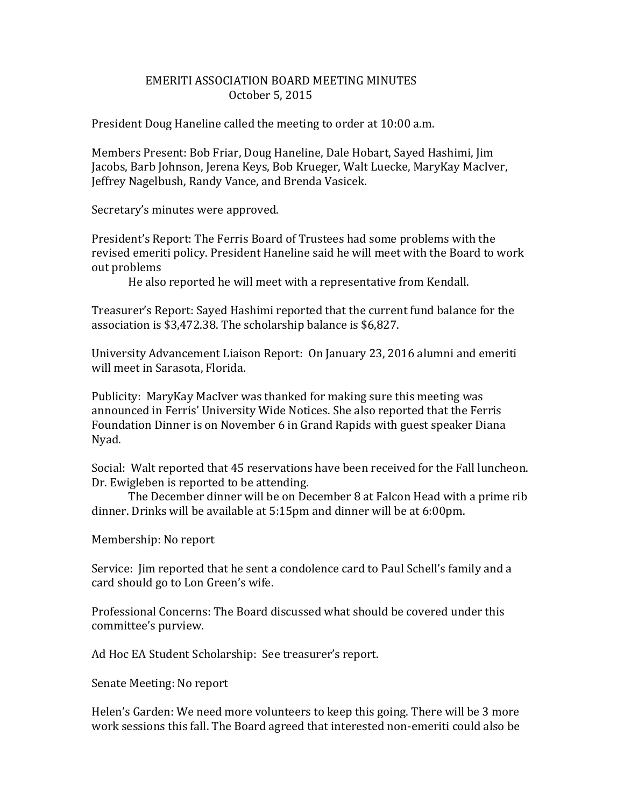## EMERITI ASSOCIATION BOARD MEETING MINUTES October 5, 2015

President Doug Haneline called the meeting to order at 10:00 a.m.

Members Present: Bob Friar, Doug Haneline, Dale Hobart, Sayed Hashimi, Jim Jacobs, Barb Johnson, Jerena Keys, Bob Krueger, Walt Luecke, MaryKay MacIver, Jeffrey Nagelbush, Randy Vance, and Brenda Vasicek.

Secretary's minutes were approved.

President's Report: The Ferris Board of Trustees had some problems with the revised emeriti policy. President Haneline said he will meet with the Board to work out problems

He also reported he will meet with a representative from Kendall.

Treasurer's Report: Sayed Hashimi reported that the current fund balance for the association is \$3,472.38. The scholarship balance is \$6,827.

University Advancement Liaison Report: On January 23, 2016 alumni and emeriti will meet in Sarasota, Florida.

Publicity: MaryKay MacIver was thanked for making sure this meeting was announced in Ferris' University Wide Notices. She also reported that the Ferris Foundation Dinner is on November 6 in Grand Rapids with guest speaker Diana Nyad.

Social: Walt reported that 45 reservations have been received for the Fall luncheon. Dr. Ewigleben is reported to be attending.

The December dinner will be on December 8 at Falcon Head with a prime rib dinner. Drinks will be available at 5:15pm and dinner will be at 6:00pm.

Membership: No report

Service: Jim reported that he sent a condolence card to Paul Schell's family and a card should go to Lon Green's wife.

Professional Concerns: The Board discussed what should be covered under this committee's purview.

Ad Hoc EA Student Scholarship: See treasurer's report.

Senate Meeting: No report

Helen's Garden: We need more volunteers to keep this going. There will be 3 more work sessions this fall. The Board agreed that interested non-emeriti could also be